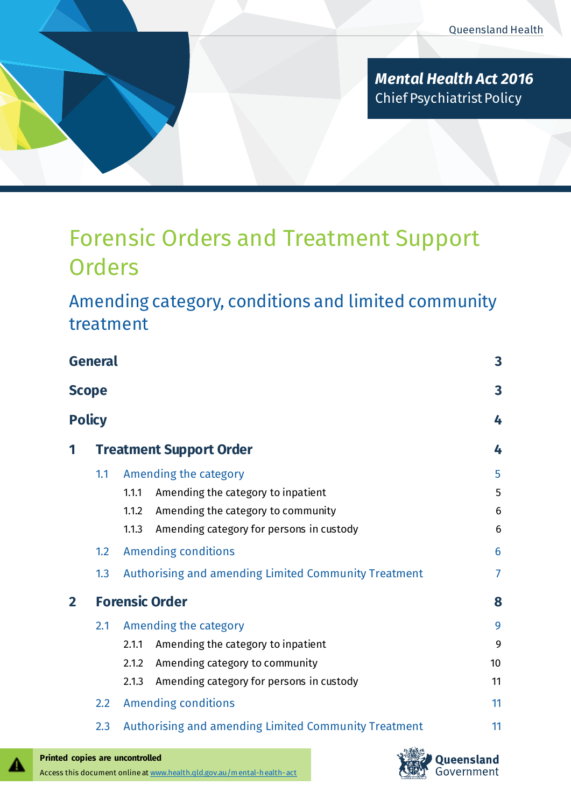

*Mental Health Act 2016* Chief Psychiatrist Policy

# Forensic Orders and Treatment Support **Orders**

Amending category, conditions and limited community treatment

| <b>General</b><br><b>Scope</b> |                                |                                                      |                |  |
|--------------------------------|--------------------------------|------------------------------------------------------|----------------|--|
|                                |                                |                                                      |                |  |
| 1                              | <b>Treatment Support Order</b> |                                                      |                |  |
|                                | 1.1                            | Amending the category                                | 5              |  |
|                                |                                | Amending the category to inpatient<br>1.1.1          | 5              |  |
|                                |                                | Amending the category to community<br>1.1.2          | 6              |  |
|                                |                                | Amending category for persons in custody<br>1.1.3    | 6              |  |
|                                | 1.2                            | <b>Amending conditions</b>                           | 6              |  |
|                                | 1.3                            | Authorising and amending Limited Community Treatment | $\overline{7}$ |  |
| $\mathbf{2}$                   |                                | <b>Forensic Order</b>                                | 8              |  |
|                                | 2.1                            | Amending the category                                | 9              |  |
|                                |                                | Amending the category to inpatient<br>2.1.1          | 9              |  |
|                                |                                | Amending category to community<br>2.1.2              | 10             |  |
|                                |                                | Amending category for persons in custody<br>2.1.3    | 11             |  |
|                                | 2.2                            | <b>Amending conditions</b>                           | 11             |  |
|                                | 2.3                            | Authorising and amending Limited Community Treatment | 11             |  |
|                                |                                |                                                      |                |  |



А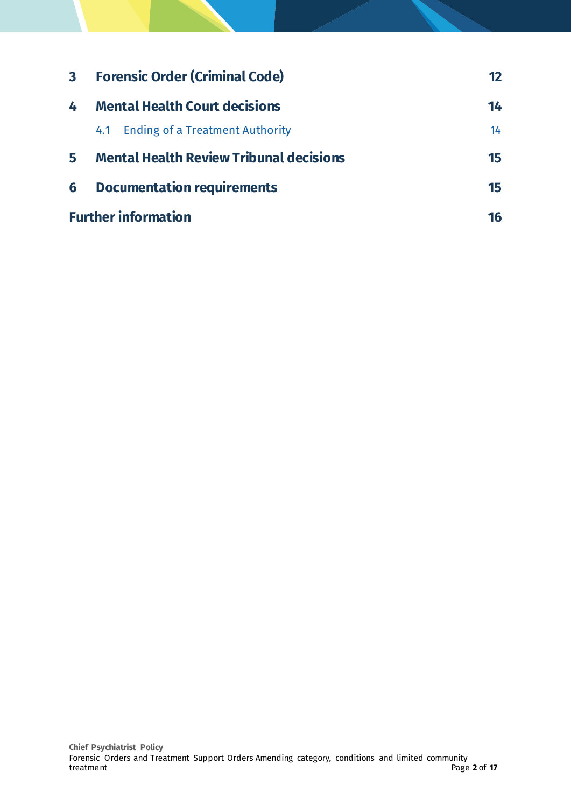| $\mathbf{3}$ | <b>Forensic Order (Criminal Code)</b>          | 12 |
|--------------|------------------------------------------------|----|
| 4            | <b>Mental Health Court decisions</b>           | 14 |
|              | <b>Ending of a Treatment Authority</b><br>4.1  | 14 |
| 5            | <b>Mental Health Review Tribunal decisions</b> | 15 |
| 6            | <b>Documentation requirements</b>              | 15 |
|              | <b>Further information</b>                     | 16 |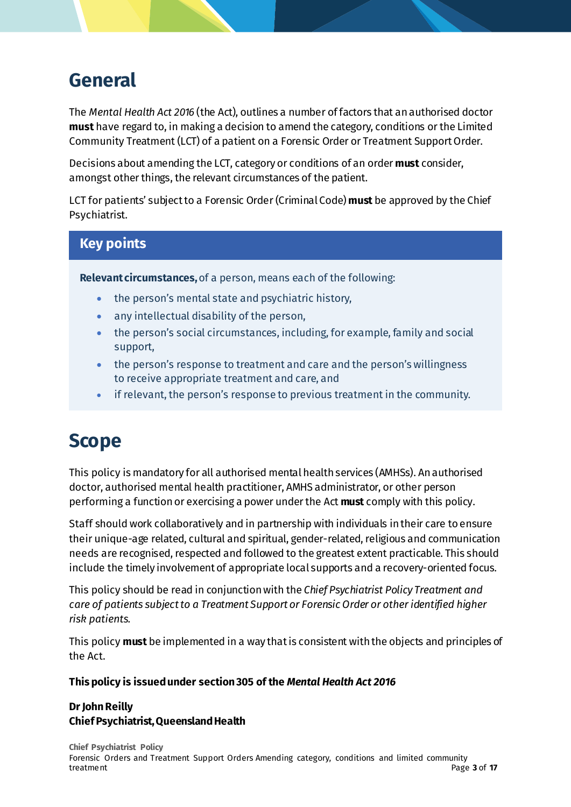## <span id="page-2-0"></span>**General**

The *Mental Health Act 2016* (the Act), outlines a number of factors that an authorised doctor **must** have regard to, in making a decision to amend the category, conditions or the Limited Community Treatment (LCT) of a patient on a Forensic Order or Treatment Support Order.

Decisions about amending the LCT, category or conditions of an order **must** consider, amongst other things, the relevant circumstances of the patient.

LCT for patients' subject to a Forensic Order (Criminal Code) **must** be approved by the Chief Psychiatrist.

### **Key points**

**Relevant circumstances,** of a person, means each of the following:

- the person's mental state and psychiatric history,
- any intellectual disability of the person,
- the person's social circumstances, including, for example, family and social support,
- the person's response to treatment and care and the person's willingness to receive appropriate treatment and care, and
- if relevant, the person's response to previous treatment in the community.

# <span id="page-2-1"></span>**Scope**

This policy is mandatory for all authorised mental health services (AMHSs). An authorised doctor, authorised mental health practitioner, AMHS administrator, or other person performing a function or exercising a power under the Act **must** comply with this policy.

Staff should work collaboratively and in partnership with individuals in their care to ensure their unique-age related, cultural and spiritual, gender-related, religious and communication needs are recognised, respected and followed to the greatest extent practicable. This should include the timely involvement of appropriate local supports and a recovery-oriented focus.

This policy should be read in conjunction with the *Chief Psychiatrist Policy Treatment and care of patients subject to a Treatment Support or Forensic Order or other identified higher risk patients.*

This policy **must** be implemented in a way that is consistent with the objects and principles of the Act.

**This policy is issued under section 305 of the** *Mental Health Act 2016*

#### **Dr John Reilly Chief Psychiatrist, Queensland Health**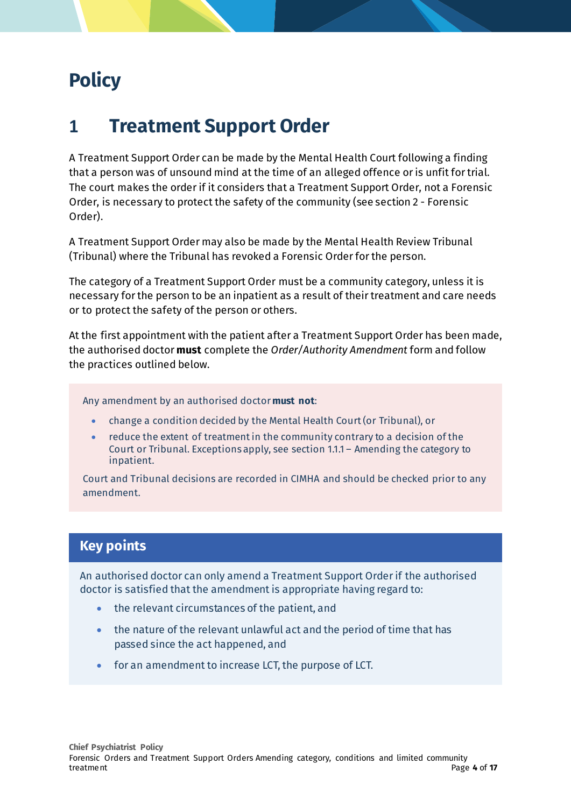# <span id="page-3-0"></span>**Policy**

### <span id="page-3-1"></span>**1 Treatment Support Order**

A Treatment Support Order can be made by the Mental Health Court following a finding that a person was of unsound mind at the time of an alleged offence or is unfit for trial. The court makes the order if it considers that a Treatment Support Order, not a Forensic Order, is necessary to protect the safety of the community (see section 2 - Forensic Order).

A Treatment Support Order may also be made by the Mental Health Review Tribunal (Tribunal) where the Tribunal has revoked a Forensic Order for the person.

The category of a Treatment Support Order must be a community category, unless it is necessary for the person to be an inpatient as a result of their treatment and care needs or to protect the safety of the person or others.

At the first appointment with the patient after a Treatment Support Order has been made, the authorised doctor **must** complete the *Order/Authority Amendment* form and follow the practices outlined below.

Any amendment by an authorised doctor **must not**:

- change a condition decided by the Mental Health Court (or Tribunal), or
- reduce the extent of treatment in the community contrary to a decision of the Court or Tribunal. Exceptions apply, see section 1.1.1 – Amending the category to inpatient.

Court and Tribunal decisions are recorded in CIMHA and should be checked prior to any amendment.

### **Key points**

An authorised doctor can only amend a Treatment Support Order if the authorised doctor is satisfied that the amendment is appropriate having regard to:

- the relevant circumstances of the patient, and
- the nature of the relevant unlawful act and the period of time that has passed since the act happened, and
- for an amendment to increase LCT, the purpose of LCT.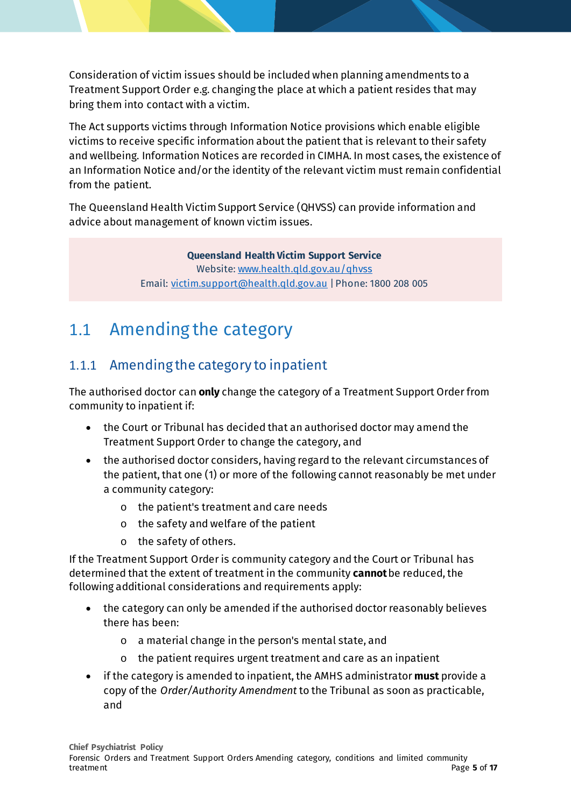Consideration of victim issues should be included when planning amendments to a Treatment Support Order e.g. changing the place at which a patient resides that may bring them into contact with a victim.

The Act supports victims through Information Notice provisions which enable eligible victims to receive specific information about the patient that is relevant to their safety and wellbeing. Information Notices are recorded in CIMHA. In most cases, the existence of an Information Notice and/or the identity of the relevant victim must remain confidential from the patient.

The Queensland Health Victim Support Service (QHVSS) can provide information and advice about management of known victim issues.

> **Queensland Health Victim Support Service** Website[: www.health.qld.gov.au/qhvss](http://www.health.qld.gov.au/qhvss) Email[: victim.support@health.qld.gov.au](mailto:victim.support@health.qld.gov.au) | Phone: 1800 208 005

### <span id="page-4-0"></span>1.1 Amending the category

### <span id="page-4-1"></span>1.1.1 Amending the category to inpatient

The authorised doctor can **only** change the category of a Treatment Support Order from community to inpatient if:

- the Court or Tribunal has decided that an authorised doctor may amend the Treatment Support Order to change the category, and
- the authorised doctor considers, having regard to the relevant circumstances of the patient, that one (1) or more of the following cannot reasonably be met under a community category:
	- o the patient's treatment and care needs
	- o the safety and welfare of the patient
	- o the safety of others.

If the Treatment Support Order is community category and the Court or Tribunal has determined that the extent of treatment in the community **cannot** be reduced, the following additional considerations and requirements apply:

- the category can only be amended if the authorised doctor reasonably believes there has been:
	- o a material change in the person's mental state, and
	- o the patient requires urgent treatment and care as an inpatient
- if the category is amended to inpatient, the AMHS administrator **must** provide a copy of the *Order/Authority Amendment* to the Tribunal as soon as practicable, and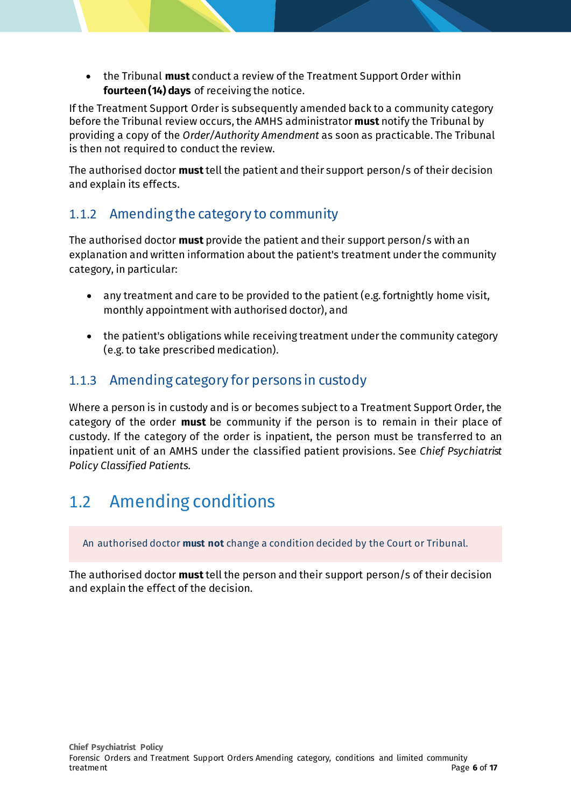• the Tribunal **must** conduct a review of the Treatment Support Order within **fourteen (14) days** of receiving the notice.

If the Treatment Support Order is subsequently amended back to a community category before the Tribunal review occurs, the AMHS administrator **must** notify the Tribunal by providing a copy of the *Order/Authority Amendment* as soon as practicable. The Tribunal is then not required to conduct the review.

The authorised doctor **must**tell the patient and their support person/s of their decision and explain its effects.

#### <span id="page-5-0"></span>1.1.2 Amending the category to community

The authorised doctor **must** provide the patient and their support person/s with an explanation and written information about the patient's treatment under the community category, in particular:

- any treatment and care to be provided to the patient (e.g. fortnightly home visit, monthly appointment with authorised doctor), and
- the patient's obligations while receiving treatment under the community category (e.g. to take prescribed medication).

#### <span id="page-5-1"></span>1.1.3 Amending category for persons in custody

Where a person is in custody and is or becomes subject to a Treatment Support Order, the category of the order **must** be community if the person is to remain in their place of custody. If the category of the order is inpatient, the person must be transferred to an inpatient unit of an AMHS under the classified patient provisions. See *Chief Psychiatrist Policy Classified Patients*.

### <span id="page-5-2"></span>1.2 Amending conditions

An authorised doctor **must not** change a condition decided by the Court or Tribunal.

The authorised doctor **must**tell the person and their support person/s of their decision and explain the effect of the decision.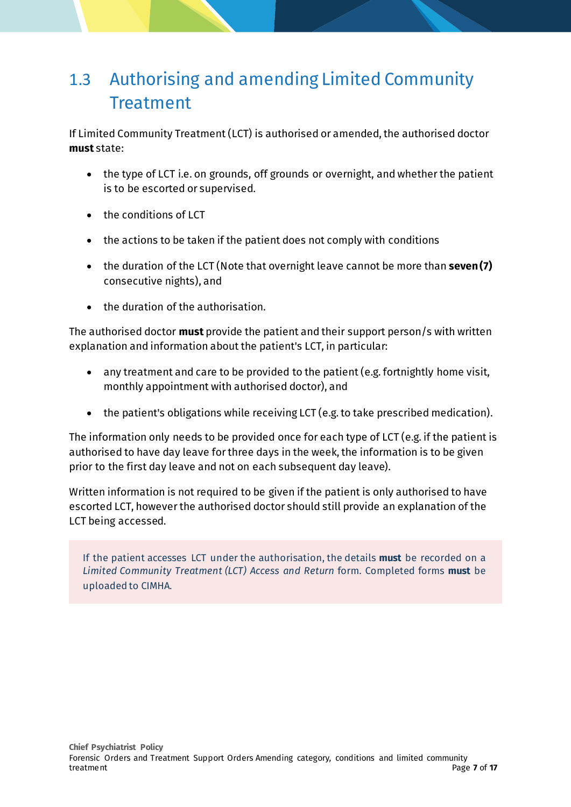## <span id="page-6-0"></span>1.3 Authorising and amending Limited Community **Treatment**

If Limited Community Treatment (LCT) is authorised or amended, the authorised doctor **must** state:

- the type of LCT i.e. on grounds, off grounds or overnight, and whether the patient is to be escorted or supervised.
- the conditions of LCT
- the actions to be taken if the patient does not comply with conditions
- the duration of the LCT (Note that overnight leave cannot be more than **seven (7)** consecutive nights), and
- the duration of the authorisation.

The authorised doctor **must** provide the patient and their support person/s with written explanation and information about the patient's LCT, in particular:

- any treatment and care to be provided to the patient (e.g. fortnightly home visit, monthly appointment with authorised doctor), and
- the patient's obligations while receiving LCT (e.g. to take prescribed medication).

The information only needs to be provided once for each type of LCT (e.g. if the patient is authorised to have day leave for three days in the week, the information is to be given prior to the first day leave and not on each subsequent day leave).

Written information is not required to be given if the patient is only authorised to have escorted LCT, however the authorised doctor should still provide an explanation of the LCT being accessed.

If the patient accesses LCT under the authorisation, the details **must** be recorded on a *Limited Community Treatment (LCT) Access and Return* form. Completed forms **must** be uploaded to CIMHA.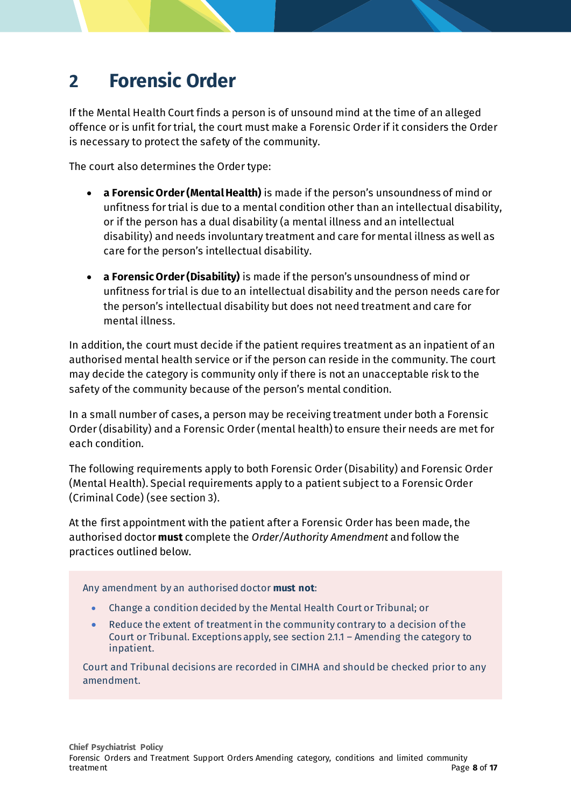## <span id="page-7-0"></span>**2 Forensic Order**

If the Mental Health Court finds a person is of unsound mind at the time of an alleged offence or is unfit for trial, the court must make a Forensic Order if it considers the Order is necessary to protect the safety of the community.

The court also determines the Order type:

- **a Forensic Order (Mental Health)** is made if the person's unsoundness of mind or unfitness for trial is due to a mental condition other than an intellectual disability, or if the person has a dual disability (a mental illness and an intellectual disability) and needs involuntary treatment and care for mental illness as well as care for the person's intellectual disability.
- **a Forensic Order (Disability)** is made if the person's unsoundness of mind or unfitness for trial is due to an intellectual disability and the person needs care for the person's intellectual disability but does not need treatment and care for mental illness.

In addition, the court must decide if the patient requires treatment as an inpatient of an authorised mental health service or if the person can reside in the community. The court may decide the category is community only if there is not an unacceptable risk to the safety of the community because of the person's mental condition.

In a small number of cases, a person may be receiving treatment under both a Forensic Order (disability) and a Forensic Order (mental health) to ensure their needs are met for each condition.

The following requirements apply to both Forensic Order (Disability) and Forensic Order (Mental Health). Special requirements apply to a patient subject to a Forensic Order (Criminal Code) (see section 3).

At the first appointment with the patient after a Forensic Order has been made, the authorised doctor **must** complete the *Order/Authority Amendment* and follow the practices outlined below.

Any amendment by an authorised doctor **must not**:

- Change a condition decided by the Mental Health Court or Tribunal; or
- Reduce the extent of treatment in the community contrary to a decision of the Court or Tribunal. Exceptions apply, see section 2.1.1 – Amending the category to inpatient.

Court and Tribunal decisions are recorded in CIMHA and should be checked prior to any amendment.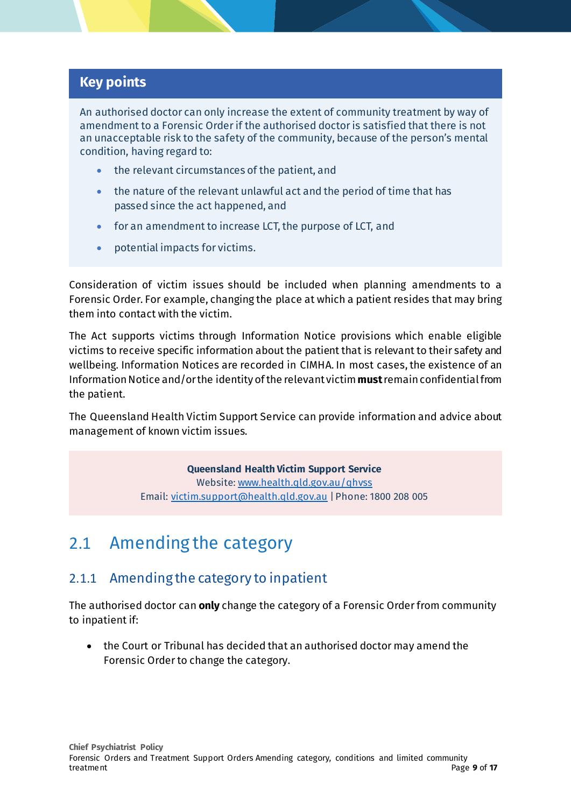#### **Key points**

An authorised doctor can only increase the extent of community treatment by way of amendment to a Forensic Order if the authorised doctor is satisfied that there is not an unacceptable risk to the safety of the community, because of the person's mental condition, having regard to:

- the relevant circumstances of the patient, and
- the nature of the relevant unlawful act and the period of time that has passed since the act happened, and
- for an amendment to increase LCT, the purpose of LCT, and
- potential impacts for victims.

Consideration of victim issues should be included when planning amendments to a Forensic Order. For example, changing the place at which a patient resides that may bring them into contact with the victim.

The Act supports victims through Information Notice provisions which enable eligible victims to receive specific information about the patient that is relevant to their safety and wellbeing. Information Notices are recorded in CIMHA. In most cases, the existence of an Information Notice and/or the identity of the relevant victim **must**remain confidential from the patient.

The Queensland Health Victim Support Service can provide information and advice about management of known victim issues.

> **Queensland Health Victim Support Service** Website[: www.health.qld.gov.au/qhvss](http://www.health.qld.gov.au/qhvss) Email[: victim.support@health.qld.gov.au](mailto:victim.support@health.qld.gov.au) | Phone: 1800 208 005

### <span id="page-8-0"></span>2.1 Amending the category

#### <span id="page-8-1"></span>2.1.1 Amending the category to inpatient

The authorised doctor can **only** change the category of a Forensic Order from community to inpatient if:

• the Court or Tribunal has decided that an authorised doctor may amend the Forensic Order to change the category.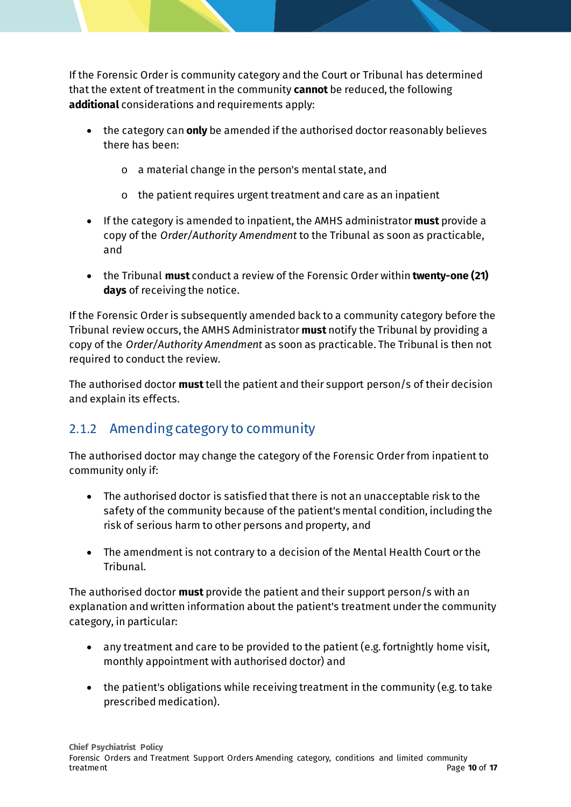If the Forensic Order is community category and the Court or Tribunal has determined that the extent of treatment in the community **cannot** be reduced, the following **additional** considerations and requirements apply:

- the category can **only** be amended if the authorised doctor reasonably believes there has been:
	- o a material change in the person's mental state, and
	- $\circ$  the patient requires urgent treatment and care as an inpatient
- If the category is amended to inpatient, the AMHS administrator **must** provide a copy of the *Order/Authority Amendment* to the Tribunal as soon as practicable, and
- the Tribunal **must** conduct a review of the Forensic Order within **twenty-one (21) days** of receiving the notice.

If the Forensic Order is subsequently amended back to a community category before the Tribunal review occurs, the AMHS Administrator **must** notify the Tribunal by providing a copy of the *Order/Authority Amendment* as soon as practicable. The Tribunal is then not required to conduct the review.

The authorised doctor **must**tell the patient and their support person/s of their decision and explain its effects.

### <span id="page-9-0"></span>2.1.2 Amending category to community

The authorised doctor may change the category of the Forensic Order from inpatient to community only if:

- The authorised doctor is satisfied that there is not an unacceptable risk to the safety of the community because of the patient's mental condition, including the risk of serious harm to other persons and property, and
- The amendment is not contrary to a decision of the Mental Health Court or the Tribunal.

The authorised doctor **must** provide the patient and their support person/s with an explanation and written information about the patient's treatment under the community category, in particular:

- any treatment and care to be provided to the patient (e.g. fortnightly home visit, monthly appointment with authorised doctor) and
- the patient's obligations while receiving treatment in the community (e.g. to take prescribed medication).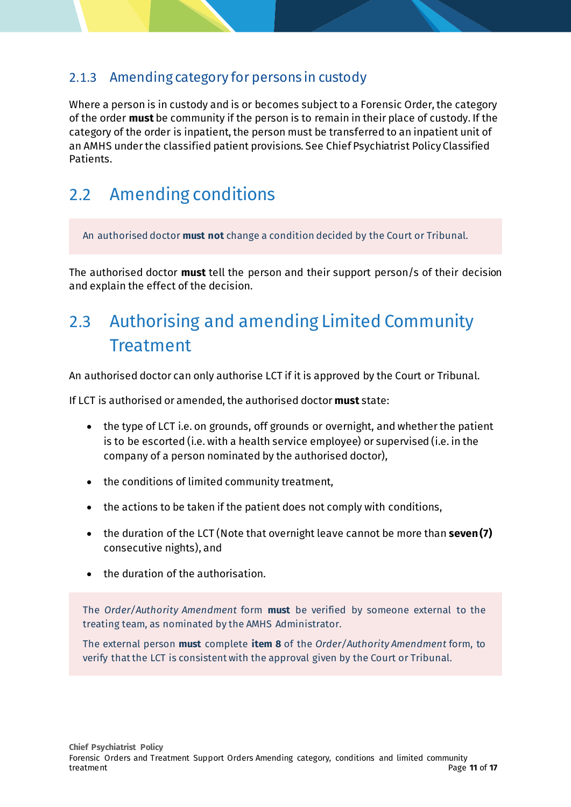#### <span id="page-10-0"></span>2.1.3 Amending category for persons in custody

Where a person is in custody and is or becomes subject to a Forensic Order, the category of the order **must** be community if the person is to remain in their place of custody. If the category of the order is inpatient, the person must be transferred to an inpatient unit of an AMHS under the classified patient provisions. See Chief Psychiatrist Policy Classified Patients.

### <span id="page-10-1"></span>2.2 Amending conditions

An authorised doctor **must not** change a condition decided by the Court or Tribunal.

The authorised doctor **must** tell the person and their support person/s of their decision and explain the effect of the decision.

## <span id="page-10-2"></span>2.3 Authorising and amending Limited Community Treatment

An authorised doctor can only authorise LCT if it is approved by the Court or Tribunal.

If LCT is authorised or amended, the authorised doctor **must** state:

- the type of LCT i.e. on grounds, off grounds or overnight, and whether the patient is to be escorted (i.e. with a health service employee) or supervised (i.e. in the company of a person nominated by the authorised doctor),
- the conditions of limited community treatment,
- the actions to be taken if the patient does not comply with conditions,
- the duration of the LCT (Note that overnight leave cannot be more than **seven (7)** consecutive nights), and
- the duration of the authorisation.

The *Order/Authority Amendment* form **must** be verified by someone external to the treating team, as nominated by the AMHS Administrator.

The external person **must** complete **item 8** of the *Order/Authority Amendment* form, to verify that the LCT is consistent with the approval given by the Court or Tribunal.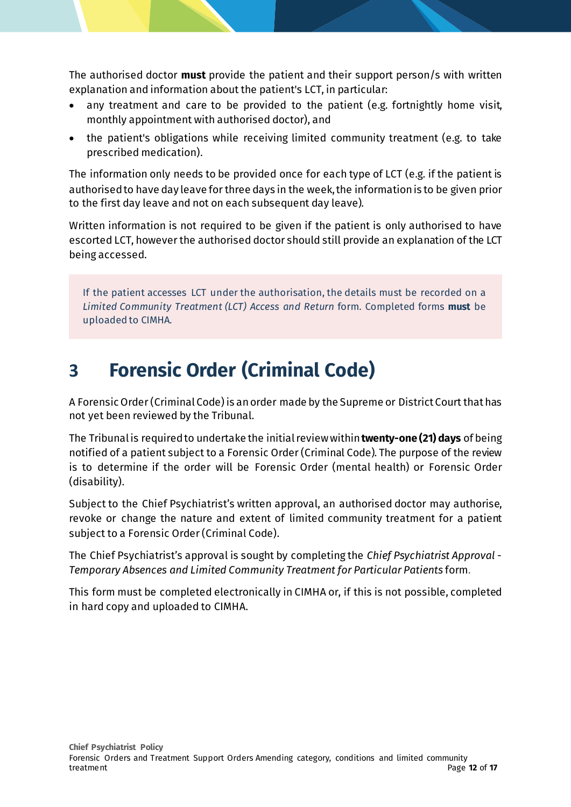The authorised doctor **must** provide the patient and their support person/s with written explanation and information about the patient's LCT, in particular:

- any treatment and care to be provided to the patient (e.g. fortnightly home visit, monthly appointment with authorised doctor), and
- the patient's obligations while receiving limited community treatment (e.g. to take prescribed medication).

The information only needs to be provided once for each type of LCT (e.g. if the patient is authorised to have day leave for three days in the week, the information is to be given prior to the first day leave and not on each subsequent day leave).

Written information is not required to be given if the patient is only authorised to have escorted LCT, however the authorised doctor should still provide an explanation of the LCT being accessed.

If the patient accesses LCT under the authorisation, the details must be recorded on a *Limited Community Treatment (LCT) Access and Return* form. Completed forms **must** be uploaded to CIMHA.

# <span id="page-11-0"></span>**3 Forensic Order (Criminal Code)**

A Forensic Order (Criminal Code) is an order made by the Supreme or District Court that has not yet been reviewed by the Tribunal.

The Tribunal is required to undertake the initial review within **twenty-one (21) days** of being notified of a patient subject to a Forensic Order (Criminal Code). The purpose of the review is to determine if the order will be Forensic Order (mental health) or Forensic Order (disability).

Subject to the Chief Psychiatrist's written approval, an authorised doctor may authorise, revoke or change the nature and extent of limited community treatment for a patient subject to a Forensic Order (Criminal Code).

The Chief Psychiatrist's approval is sought by completing the *Chief Psychiatrist Approval - Temporary Absences and Limited Community Treatment for Particular Patients* form.

This form must be completed electronically in CIMHA or, if this is not possible, completed in hard copy and uploaded to CIMHA.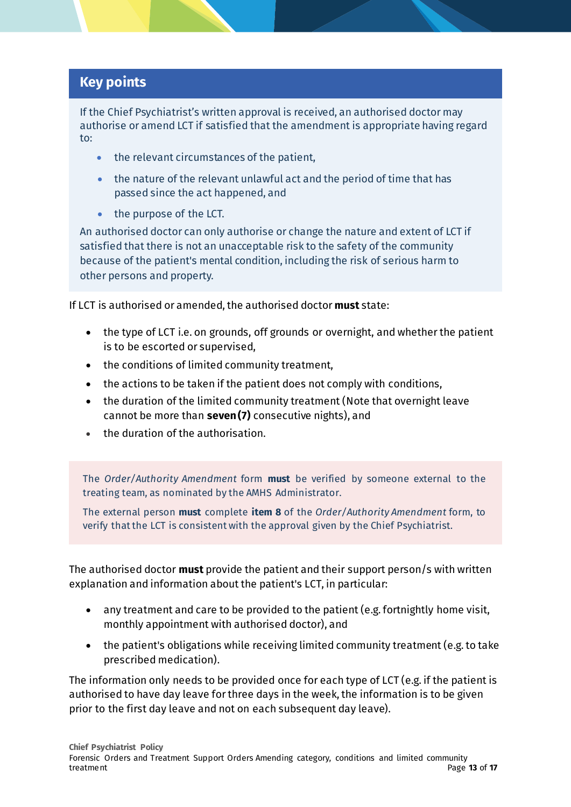#### **Key points**

If the Chief Psychiatrist's written approval is received, an authorised doctor may authorise or amend LCT if satisfied that the amendment is appropriate having regard to:

- the relevant circumstances of the patient,
- the nature of the relevant unlawful act and the period of time that has passed since the act happened, and
- the purpose of the LCT.

An authorised doctor can only authorise or change the nature and extent of LCT if satisfied that there is not an unacceptable risk to the safety of the community because of the patient's mental condition, including the risk of serious harm to other persons and property.

If LCT is authorised or amended, the authorised doctor **must** state:

- the type of LCT i.e. on grounds, off grounds or overnight, and whether the patient is to be escorted or supervised,
- the conditions of limited community treatment,
- the actions to be taken if the patient does not comply with conditions,
- the duration of the limited community treatment (Note that overnight leave cannot be more than **seven (7)** consecutive nights), and
- the duration of the authorisation.

The *Order/Authority Amendment* form **must** be verified by someone external to the treating team, as nominated by the AMHS Administrator.

The external person **must** complete **item 8** of the *Order/Authority Amendment* form, to verify that the LCT is consistent with the approval given by the Chief Psychiatrist.

The authorised doctor **must** provide the patient and their support person/s with written explanation and information about the patient's LCT, in particular:

- any treatment and care to be provided to the patient (e.g. fortnightly home visit, monthly appointment with authorised doctor), and
- the patient's obligations while receiving limited community treatment (e.g. to take prescribed medication).

The information only needs to be provided once for each type of LCT (e.g. if the patient is authorised to have day leave for three days in the week, the information is to be given prior to the first day leave and not on each subsequent day leave).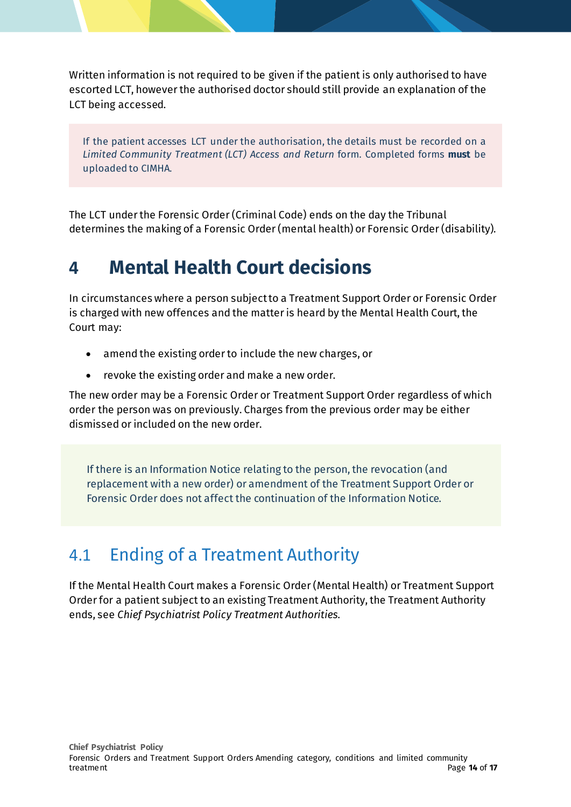Written information is not required to be given if the patient is only authorised to have escorted LCT, however the authorised doctor should still provide an explanation of the LCT being accessed.

If the patient accesses LCT under the authorisation, the details must be recorded on a *Limited Community Treatment (LCT) Access and Return* form. Completed forms **must** be uploaded to CIMHA.

The LCT under the Forensic Order(Criminal Code) ends on the day the Tribunal determines the making of a Forensic Order(mental health) or Forensic Order(disability).

## <span id="page-13-0"></span>**4 Mental Health Court decisions**

In circumstances where a person subject to a Treatment Support Order or Forensic Order is charged with new offences and the matter is heard by the Mental Health Court, the Court may:

- amend the existing order to include the new charges, or
- revoke the existing order and make a new order.

The new order may be a Forensic Order or Treatment Support Order regardless of which order the person was on previously. Charges from the previous order may be either dismissed or included on the new order.

If there is an Information Notice relating to the person, the revocation (and replacement with a new order) or amendment of the Treatment Support Order or Forensic Order does not affect the continuation of the Information Notice.

### <span id="page-13-1"></span>4.1 Ending of a Treatment Authority

If the Mental Health Court makes a Forensic Order (Mental Health) or Treatment Support Order for a patient subject to an existing Treatment Authority, the Treatment Authority ends, see *Chief Psychiatrist Policy Treatment Authorities*.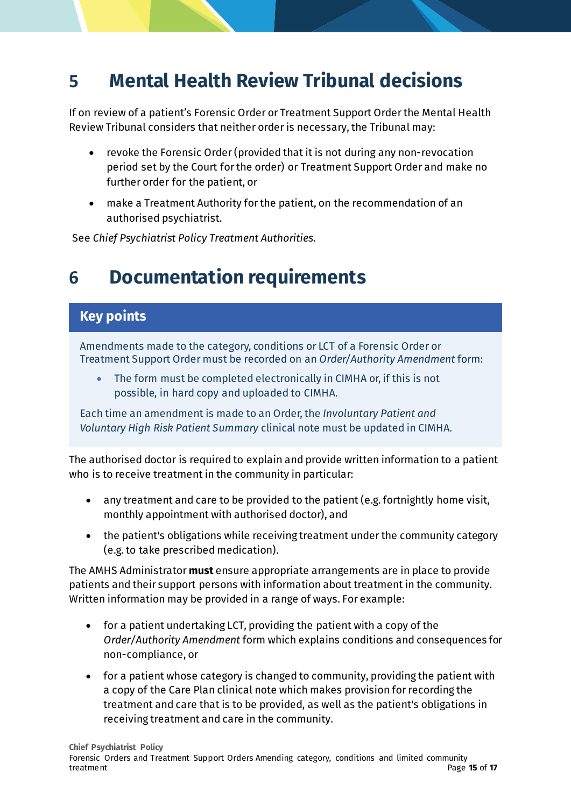## <span id="page-14-0"></span>**5 Mental Health Review Tribunal decisions**

If on review of a patient's Forensic Order or Treatment Support Order the Mental Health Review Tribunal considers that neither order is necessary, the Tribunal may:

- revoke the Forensic Order(provided that it is not during any non-revocation period set by the Court for the order) or Treatment Support Order and make no further order for the patient, or
- make a Treatment Authority for the patient, on the recommendation of an authorised psychiatrist.

See *Chief Psychiatrist Policy Treatment Authorities*.

### <span id="page-14-1"></span>**6 Documentation requirements**

#### **Key points**

Amendments made to the category, conditions or LCT of a Forensic Order or Treatment Support Order must be recorded on an *Order/Authority Amendment* form:

• The form must be completed electronically in CIMHA or, if this is not possible, in hard copy and uploaded to CIMHA.

Each time an amendment is made to an Order, the *Involuntary Patient and Voluntary High Risk Patient Summary* clinical note must be updated in CIMHA.

The authorised doctor is required to explain and provide written information to a patient who is to receive treatment in the community in particular:

- any treatment and care to be provided to the patient (e.g. fortnightly home visit, monthly appointment with authorised doctor), and
- the patient's obligations while receiving treatment under the community category (e.g. to take prescribed medication).

The AMHS Administrator **must** ensure appropriate arrangements are in place to provide patients and their support persons with information about treatment in the community. Written information may be provided in a range of ways. For example:

- for a patient undertaking LCT, providing the patient with a copy of the *Order/Authority Amendment* form which explains conditions and consequences for non-compliance, or
- for a patient whose category is changed to community, providing the patient with a copy of the Care Plan clinical note which makes provision for recording the treatment and care that is to be provided, as well as the patient's obligations in receiving treatment and care in the community.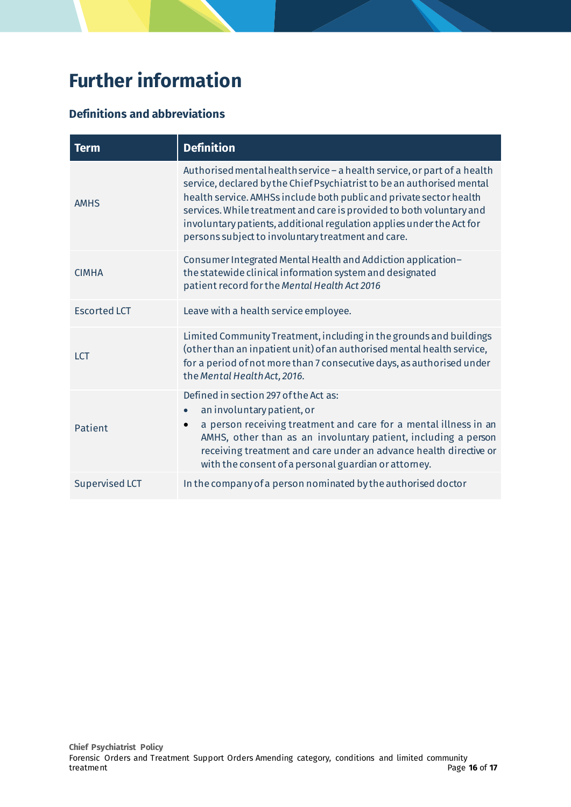# <span id="page-15-0"></span>**Further information**

#### **Definitions and abbreviations**

| <b>Term</b>           | <b>Definition</b>                                                                                                                                                                                                                                                                                                                                                                                                                |  |  |
|-----------------------|----------------------------------------------------------------------------------------------------------------------------------------------------------------------------------------------------------------------------------------------------------------------------------------------------------------------------------------------------------------------------------------------------------------------------------|--|--|
| <b>AMHS</b>           | Authorised mental health service - a health service, or part of a health<br>service, declared by the Chief Psychiatrist to be an authorised mental<br>health service. AMHSs include both public and private sector health<br>services. While treatment and care is provided to both voluntary and<br>involuntary patients, additional regulation applies under the Act for<br>persons subject to involuntary treatment and care. |  |  |
| <b>CIMHA</b>          | Consumer Integrated Mental Health and Addiction application-<br>the statewide clinical information system and designated<br>patient record for the Mental Health Act 2016                                                                                                                                                                                                                                                        |  |  |
| <b>Escorted LCT</b>   | Leave with a health service employee.                                                                                                                                                                                                                                                                                                                                                                                            |  |  |
| <b>LCT</b>            | Limited Community Treatment, including in the grounds and buildings<br>(other than an inpatient unit) of an authorised mental health service,<br>for a period of not more than 7 consecutive days, as authorised under<br>the Mental Health Act, 2016.                                                                                                                                                                           |  |  |
| Patient               | Defined in section 297 of the Act as:<br>an involuntary patient, or<br>a person receiving treatment and care for a mental illness in an<br>AMHS, other than as an involuntary patient, including a person<br>receiving treatment and care under an advance health directive or<br>with the consent of a personal guardian or attorney.                                                                                           |  |  |
| <b>Supervised LCT</b> | In the company of a person nominated by the authorised doctor                                                                                                                                                                                                                                                                                                                                                                    |  |  |